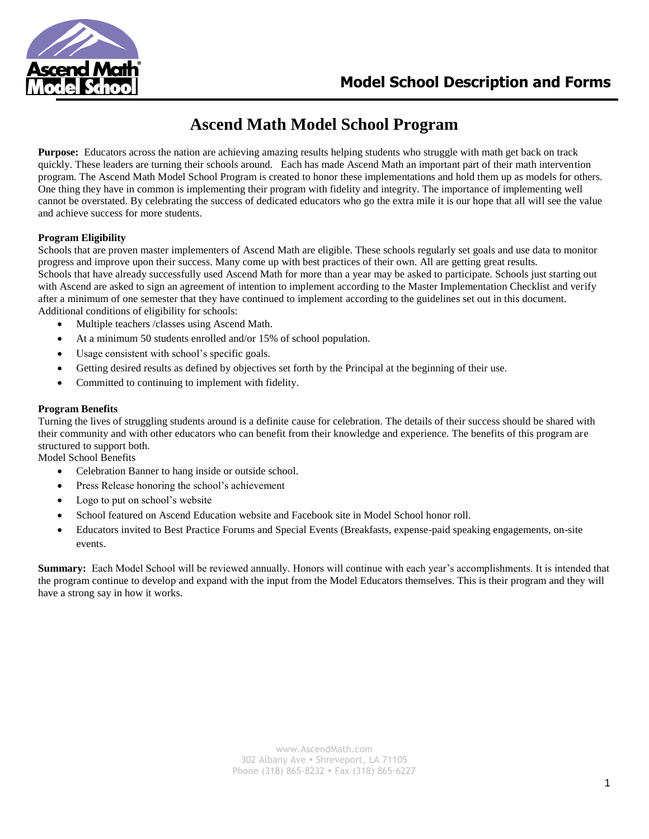

# **Ascend Math Model School Program**

**Purpose:** Educators across the nation are achieving amazing results helping students who struggle with math get back on track quickly. These leaders are turning their schools around. Each has made Ascend Math an important part of their math intervention program. The Ascend Math Model School Program is created to honor these implementations and hold them up as models for others. One thing they have in common is implementing their program with fidelity and integrity. The importance of implementing well cannot be overstated. By celebrating the success of dedicated educators who go the extra mile it is our hope that all will see the value and achieve success for more students.

#### **Program Eligibility**

Schools that are proven master implementers of Ascend Math are eligible. These schools regularly set goals and use data to monitor progress and improve upon their success. Many come up with best practices of their own. All are getting great results. Schools that have already successfully used Ascend Math for more than a year may be asked to participate. Schools just starting out with Ascend are asked to sign an agreement of intention to implement according to the Master Implementation Checklist and verify after a minimum of one semester that they have continued to implement according to the guidelines set out in this document. Additional conditions of eligibility for schools:

- Multiple teachers /classes using Ascend Math.
- At a minimum 50 students enrolled and/or 15% of school population.
- Usage consistent with school's specific goals.
- Getting desired results as defined by objectives set forth by the Principal at the beginning of their use.
- Committed to continuing to implement with fidelity.

#### **Program Benefits**

Turning the lives of struggling students around is a definite cause for celebration. The details of their success should be shared with their community and with other educators who can benefit from their knowledge and experience. The benefits of this program are structured to support both.

Model School Benefits

- Celebration Banner to hang inside or outside school.
- Press Release honoring the school's achievement
- Logo to put on school's website
- School featured on Ascend Education website and Facebook site in Model School honor roll.
- Educators invited to Best Practice Forums and Special Events (Breakfasts, expense-paid speaking engagements, on-site events.

**Summary:** Each Model School will be reviewed annually. Honors will continue with each year's accomplishments. It is intended that the program continue to develop and expand with the input from the Model Educators themselves. This is their program and they will have a strong say in how it works.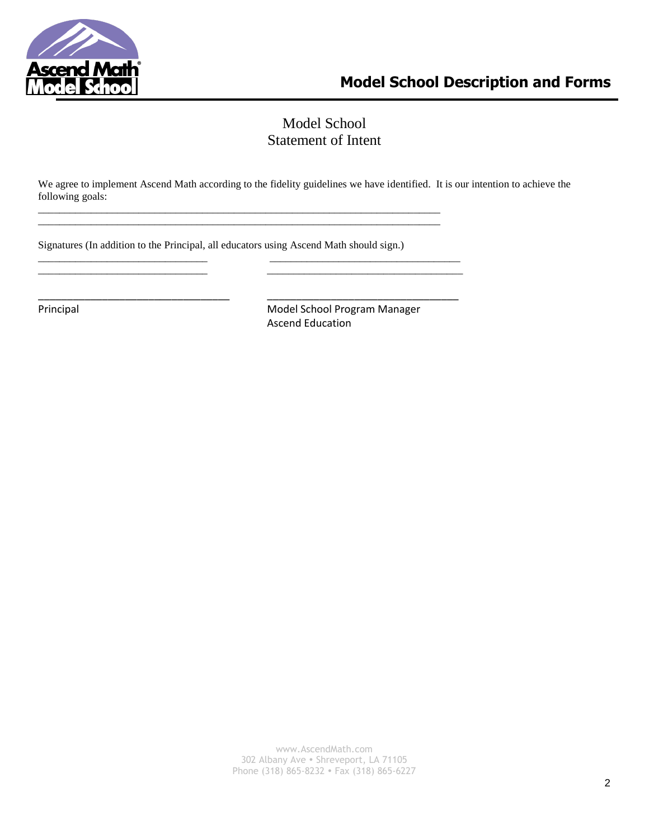

## Model School Statement of Intent

We agree to implement Ascend Math according to the fidelity guidelines we have identified. It is our intention to achieve the following goals:

Signatures (In addition to the Principal, all educators using Ascend Math should sign.)

\_\_\_\_\_\_\_\_\_\_\_\_\_\_\_\_\_\_\_\_\_\_\_\_\_\_\_\_\_\_\_\_\_\_\_\_\_\_\_\_\_\_\_\_\_\_\_\_\_\_\_\_\_\_\_\_\_\_\_\_\_\_\_\_\_\_\_\_\_\_\_\_\_\_\_\_ \_\_\_\_\_\_\_\_\_\_\_\_\_\_\_\_\_\_\_\_\_\_\_\_\_\_\_\_\_\_\_\_\_\_\_\_\_\_\_\_\_\_\_\_\_\_\_\_\_\_\_\_\_\_\_\_\_\_\_\_\_\_\_\_\_\_\_\_\_\_\_\_\_\_\_\_

\_\_\_\_\_\_\_\_\_\_\_\_\_\_\_\_\_\_\_\_\_\_\_\_\_\_\_\_\_\_\_\_ \_\_\_\_\_\_\_\_\_\_\_\_\_\_\_\_\_\_\_\_\_\_\_\_\_\_\_\_\_\_\_\_\_\_\_\_ \_\_\_\_\_\_\_\_\_\_\_\_\_\_\_\_\_\_\_\_\_\_\_\_\_\_\_\_\_\_\_\_ \_\_\_\_\_\_\_\_\_\_\_\_\_\_\_\_\_\_\_\_\_\_\_\_\_\_\_\_\_\_\_\_\_\_\_\_\_

\_\_\_\_\_\_\_\_\_\_\_\_\_\_\_\_\_\_\_\_\_\_\_\_\_\_\_\_\_\_\_\_\_ \_\_\_\_\_\_\_\_\_\_\_\_\_\_\_\_\_\_\_\_\_\_\_\_\_\_\_\_\_\_\_\_\_

Principal Model School Program Manager Ascend Education